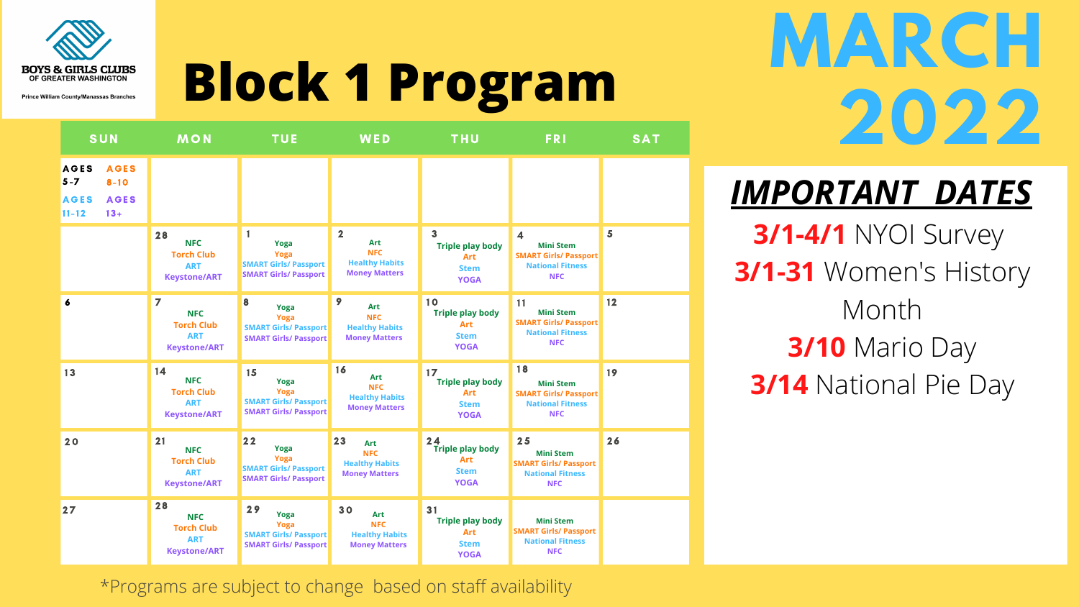

**Prince William County/Manassas Branches** 



**Block 1 Program**

\*Programs are subject to change based on staff availability

## *IMPORTANT DATES* **3/1-4/1** NYOI Survey **3/1-31** Women's History Month **3/10** Mario Day **3/14** National Pie Day

| <b>SUN</b>                                                                                             | <b>MON</b>                                                                             | <b>TUE</b>                                                                                      | WED                                                                                                  | <b>THU</b>                                                                | <b>FRI</b>                                                                                                           | <b>SAT</b> |
|--------------------------------------------------------------------------------------------------------|----------------------------------------------------------------------------------------|-------------------------------------------------------------------------------------------------|------------------------------------------------------------------------------------------------------|---------------------------------------------------------------------------|----------------------------------------------------------------------------------------------------------------------|------------|
| <b>AGES</b><br><b>AGES</b><br>$5 - 7$<br>$8 - 10$<br><b>AGES</b><br><b>AGES</b><br>$11 - 12$<br>$13 +$ |                                                                                        |                                                                                                 |                                                                                                      |                                                                           |                                                                                                                      |            |
|                                                                                                        | 28<br><b>NFC</b><br><b>Torch Club</b><br><b>ART</b><br><b>Keystone/ART</b>             | 1<br>Yoga<br><b>Yoga</b><br><b>SMART Girls/ Passport</b><br><b>SMART Girls/ Passport</b>        | $\overline{\mathbf{2}}$<br><b>Art</b><br><b>NFC</b><br><b>Healthy Habits</b><br><b>Money Matters</b> | 3<br><b>Triple play body</b><br><b>Art</b><br><b>Stem</b><br><b>YOGA</b>  | $\overline{\mathbf{4}}$<br><b>Mini Stem</b><br><b>SMART Girls/ Passport</b><br><b>National Fitness</b><br><b>NFC</b> | 5          |
| 6                                                                                                      | $\overline{7}$<br><b>NFC</b><br><b>Torch Club</b><br><b>ART</b><br><b>Keystone/ART</b> | 8<br><b>Yoga</b><br><b>Yoga</b><br><b>SMART Girls/ Passport</b><br><b>SMART Girls/ Passport</b> | $\mathbf{9}$<br><b>Art</b><br><b>NFC</b><br><b>Healthy Habits</b><br><b>Money Matters</b>            | 10<br><b>Triple play body</b><br><b>Art</b><br><b>Stem</b><br><b>YOGA</b> | 11<br><b>Mini Stem</b><br><b>SMART Girls/ Passport</b><br><b>National Fitness</b><br><b>NFC</b>                      | 12         |
| 13                                                                                                     | 14<br><b>NFC</b><br><b>Torch Club</b><br><b>ART</b><br><b>Keystone/ART</b>             | 15<br>Yoga<br>Yoga<br><b>SMART Girls/ Passport</b><br><b>SMART Girls/ Passport</b>              | 16<br><b>Art</b><br><b>NFC</b><br><b>Healthy Habits</b><br><b>Money Matters</b>                      | 17<br><b>Triple play body</b><br><b>Art</b><br><b>Stem</b><br><b>YOGA</b> | 18<br><b>Mini Stem</b><br><b>SMART Girls/ Passport</b><br><b>National Fitness</b><br><b>NFC</b>                      | 19         |
| 20                                                                                                     | 21<br><b>NFC</b><br><b>Torch Club</b><br><b>ART</b><br><b>Keystone/ART</b>             | 22<br>Yoga<br>Yoga<br><b>SMART Girls/ Passport</b><br><b>SMART Girls/ Passport</b>              | 23<br><b>Art</b><br><b>NFC</b><br><b>Healthy Habits</b><br><b>Money Matters</b>                      | 24<br><b>Triple play body</b><br>Art<br><b>Stem</b><br><b>YOGA</b>        | 25<br><b>Mini Stem</b><br><b>SMART Girls/ Passport</b><br><b>National Fitness</b><br><b>NFC</b>                      | 26         |
| 27                                                                                                     | 28<br><b>NFC</b><br><b>Torch Club</b><br><b>ART</b><br><b>Keystone/ART</b>             | 29<br>Yoga<br>Yoga<br><b>SMART Girls/ Passport</b><br><b>SMART Girls/ Passport</b>              | 30<br><b>Art</b><br><b>NFC</b><br><b>Healthy Habits</b><br><b>Money Matters</b>                      | 31<br><b>Triple play body</b><br><b>Art</b><br><b>Stem</b><br><b>YOGA</b> | <b>Mini Stem</b><br><b>SMART Girls/ Passport</b><br><b>National Fitness</b><br><b>NFC</b>                            |            |